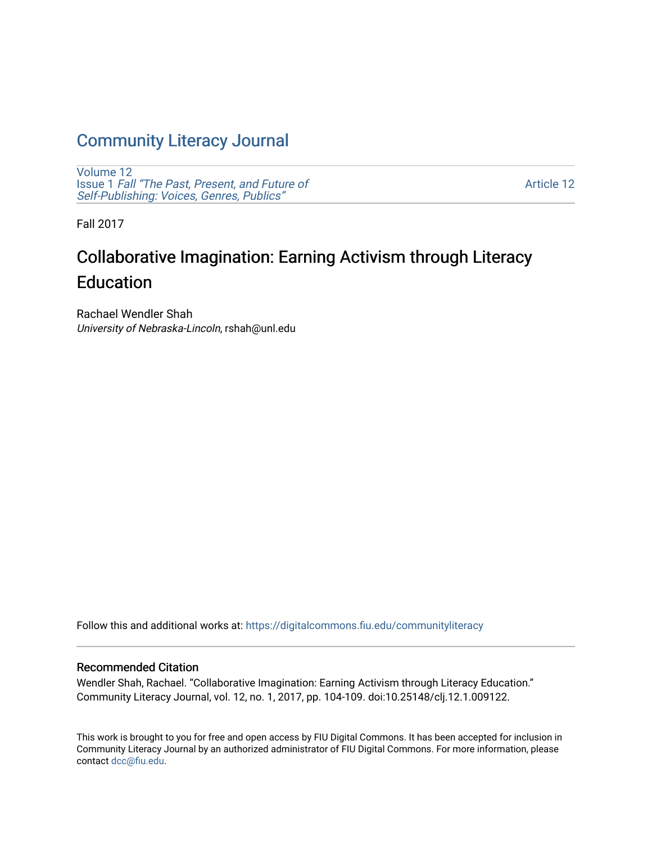## [Community Literacy Journal](https://digitalcommons.fiu.edu/communityliteracy)

[Volume 12](https://digitalcommons.fiu.edu/communityliteracy/vol12) Issue 1 [Fall "The Past, Present, and Future of](https://digitalcommons.fiu.edu/communityliteracy/vol12/iss1) [Self-Publishing: Voices, Genres, Publics"](https://digitalcommons.fiu.edu/communityliteracy/vol12/iss1) 

[Article 12](https://digitalcommons.fiu.edu/communityliteracy/vol12/iss1/12) 

Fall 2017

# Collaborative Imagination: Earning Activism through Literacy Education

Rachael Wendler Shah University of Nebraska-Lincoln, rshah@unl.edu

Follow this and additional works at: [https://digitalcommons.fiu.edu/communityliteracy](https://digitalcommons.fiu.edu/communityliteracy?utm_source=digitalcommons.fiu.edu%2Fcommunityliteracy%2Fvol12%2Fiss1%2F12&utm_medium=PDF&utm_campaign=PDFCoverPages)

#### Recommended Citation

Wendler Shah, Rachael. "Collaborative Imagination: Earning Activism through Literacy Education." Community Literacy Journal, vol. 12, no. 1, 2017, pp. 104-109. doi:10.25148/clj.12.1.009122.

This work is brought to you for free and open access by FIU Digital Commons. It has been accepted for inclusion in Community Literacy Journal by an authorized administrator of FIU Digital Commons. For more information, please contact [dcc@fiu.edu](mailto:dcc@fiu.edu).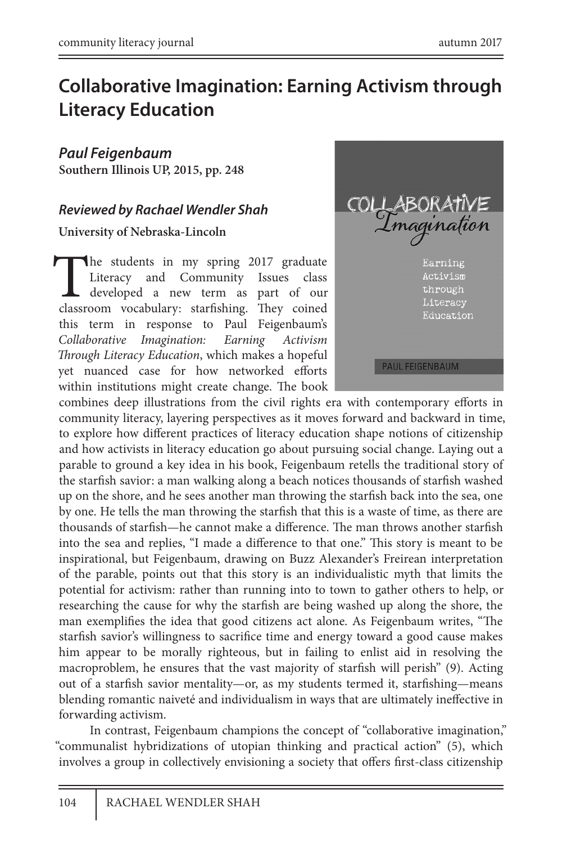### **Collaborative Imagination: Earning Activism through Literacy Education**

*Paul Feigenbaum*  **Southern Illinois UP, 2015, pp. 248** 

#### *Reviewed by Rachael Wendler Shah*

**University of Nebraska-Lincoln**

The students in my spring 2017 graduate<br>Literacy and Community Issues class<br>developed a new term as part of our<br>classroom vocabulary: starfishing. They coined Literacy and Community Issues class developed a new term as part of our classroom vocabulary: starfishing. They coined this term in response to Paul Feigenbaum's *Collaborative Imagination: Earning Activism Through Literacy Education*, which makes a hopeful yet nuanced case for how networked efforts within institutions might create change. The book



combines deep illustrations from the civil rights era with contemporary efforts in community literacy, layering perspectives as it moves forward and backward in time, to explore how different practices of literacy education shape notions of citizenship and how activists in literacy education go about pursuing social change. Laying out a parable to ground a key idea in his book, Feigenbaum retells the traditional story of the starfish savior: a man walking along a beach notices thousands of starfish washed up on the shore, and he sees another man throwing the starfish back into the sea, one by one. He tells the man throwing the starfish that this is a waste of time, as there are thousands of starfish—he cannot make a difference. The man throws another starfish into the sea and replies, "I made a difference to that one." This story is meant to be inspirational, but Feigenbaum, drawing on Buzz Alexander's Freirean interpretation of the parable, points out that this story is an individualistic myth that limits the potential for activism: rather than running into to town to gather others to help, or researching the cause for why the starfish are being washed up along the shore, the man exemplifies the idea that good citizens act alone. As Feigenbaum writes, "The starfish savior's willingness to sacrifice time and energy toward a good cause makes him appear to be morally righteous, but in failing to enlist aid in resolving the macroproblem, he ensures that the vast majority of starfish will perish" (9). Acting out of a starfish savior mentality—or, as my students termed it, starfishing—means blending romantic naiveté and individualism in ways that are ultimately ineffective in forwarding activism.

In contrast, Feigenbaum champions the concept of "collaborative imagination," "communalist hybridizations of utopian thinking and practical action" (5), which involves a group in collectively envisioning a society that offers first-class citizenship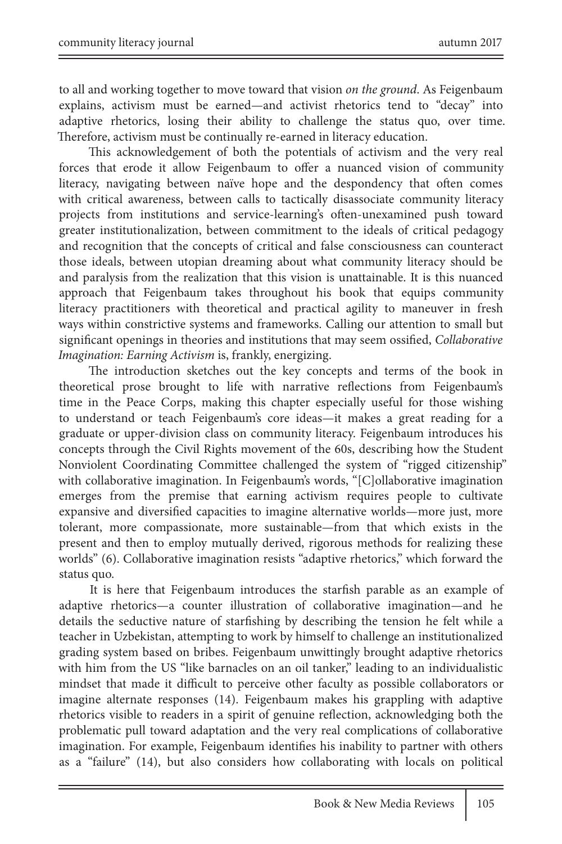to all and working together to move toward that vision *on the ground*. As Feigenbaum explains, activism must be earned—and activist rhetorics tend to "decay" into adaptive rhetorics, losing their ability to challenge the status quo, over time. Therefore, activism must be continually re-earned in literacy education.

This acknowledgement of both the potentials of activism and the very real forces that erode it allow Feigenbaum to offer a nuanced vision of community literacy, navigating between naïve hope and the despondency that often comes with critical awareness, between calls to tactically disassociate community literacy projects from institutions and service-learning's often-unexamined push toward greater institutionalization, between commitment to the ideals of critical pedagogy and recognition that the concepts of critical and false consciousness can counteract those ideals, between utopian dreaming about what community literacy should be and paralysis from the realization that this vision is unattainable. It is this nuanced approach that Feigenbaum takes throughout his book that equips community literacy practitioners with theoretical and practical agility to maneuver in fresh ways within constrictive systems and frameworks. Calling our attention to small but significant openings in theories and institutions that may seem ossified, *Collaborative Imagination: Earning Activism* is, frankly, energizing.

The introduction sketches out the key concepts and terms of the book in theoretical prose brought to life with narrative reflections from Feigenbaum's time in the Peace Corps, making this chapter especially useful for those wishing to understand or teach Feigenbaum's core ideas—it makes a great reading for a graduate or upper-division class on community literacy. Feigenbaum introduces his concepts through the Civil Rights movement of the 60s, describing how the Student Nonviolent Coordinating Committee challenged the system of "rigged citizenship" with collaborative imagination. In Feigenbaum's words, "[C]ollaborative imagination emerges from the premise that earning activism requires people to cultivate expansive and diversified capacities to imagine alternative worlds—more just, more tolerant, more compassionate, more sustainable—from that which exists in the present and then to employ mutually derived, rigorous methods for realizing these worlds" (6). Collaborative imagination resists "adaptive rhetorics," which forward the status quo.

It is here that Feigenbaum introduces the starfish parable as an example of adaptive rhetorics—a counter illustration of collaborative imagination—and he details the seductive nature of starfishing by describing the tension he felt while a teacher in Uzbekistan, attempting to work by himself to challenge an institutionalized grading system based on bribes. Feigenbaum unwittingly brought adaptive rhetorics with him from the US "like barnacles on an oil tanker," leading to an individualistic mindset that made it difficult to perceive other faculty as possible collaborators or imagine alternate responses (14). Feigenbaum makes his grappling with adaptive rhetorics visible to readers in a spirit of genuine reflection, acknowledging both the problematic pull toward adaptation and the very real complications of collaborative imagination. For example, Feigenbaum identifies his inability to partner with others as a "failure" (14), but also considers how collaborating with locals on political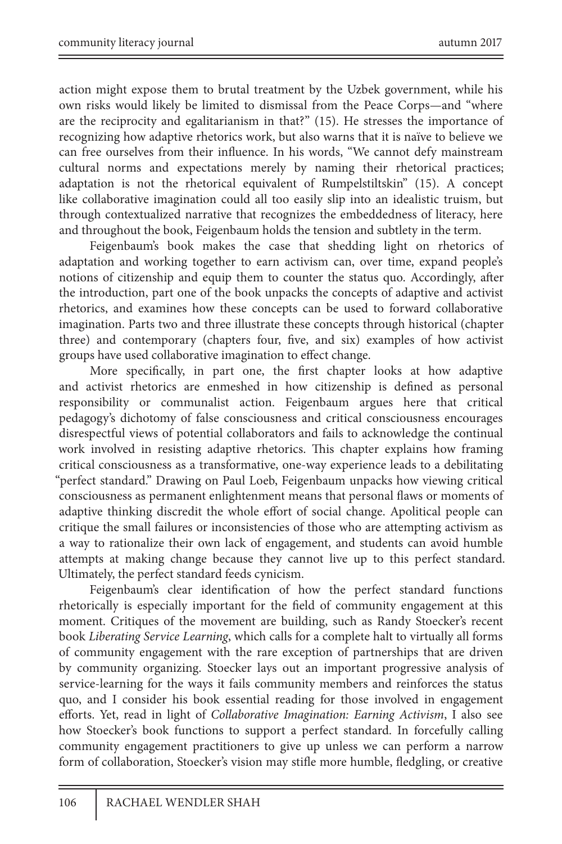action might expose them to brutal treatment by the Uzbek government, while his own risks would likely be limited to dismissal from the Peace Corps—and "where are the reciprocity and egalitarianism in that?" (15). He stresses the importance of recognizing how adaptive rhetorics work, but also warns that it is naïve to believe we can free ourselves from their influence. In his words, "We cannot defy mainstream cultural norms and expectations merely by naming their rhetorical practices; adaptation is not the rhetorical equivalent of Rumpelstiltskin" (15). A concept like collaborative imagination could all too easily slip into an idealistic truism, but through contextualized narrative that recognizes the embeddedness of literacy, here and throughout the book, Feigenbaum holds the tension and subtlety in the term.

Feigenbaum's book makes the case that shedding light on rhetorics of adaptation and working together to earn activism can, over time, expand people's notions of citizenship and equip them to counter the status quo. Accordingly, after the introduction, part one of the book unpacks the concepts of adaptive and activist rhetorics, and examines how these concepts can be used to forward collaborative imagination. Parts two and three illustrate these concepts through historical (chapter three) and contemporary (chapters four, five, and six) examples of how activist groups have used collaborative imagination to effect change.

More specifically, in part one, the first chapter looks at how adaptive and activist rhetorics are enmeshed in how citizenship is defined as personal responsibility or communalist action. Feigenbaum argues here that critical pedagogy's dichotomy of false consciousness and critical consciousness encourages disrespectful views of potential collaborators and fails to acknowledge the continual work involved in resisting adaptive rhetorics. This chapter explains how framing critical consciousness as a transformative, one-way experience leads to a debilitating "perfect standard." Drawing on Paul Loeb, Feigenbaum unpacks how viewing critical consciousness as permanent enlightenment means that personal flaws or moments of adaptive thinking discredit the whole effort of social change. Apolitical people can critique the small failures or inconsistencies of those who are attempting activism as a way to rationalize their own lack of engagement, and students can avoid humble attempts at making change because they cannot live up to this perfect standard. Ultimately, the perfect standard feeds cynicism.

Feigenbaum's clear identification of how the perfect standard functions rhetorically is especially important for the field of community engagement at this moment. Critiques of the movement are building, such as Randy Stoecker's recent book *Liberating Service Learning*, which calls for a complete halt to virtually all forms of community engagement with the rare exception of partnerships that are driven by community organizing. Stoecker lays out an important progressive analysis of service-learning for the ways it fails community members and reinforces the status quo, and I consider his book essential reading for those involved in engagement efforts. Yet, read in light of *Collaborative Imagination: Earning Activism*, I also see how Stoecker's book functions to support a perfect standard. In forcefully calling community engagement practitioners to give up unless we can perform a narrow form of collaboration, Stoecker's vision may stifle more humble, fledgling, or creative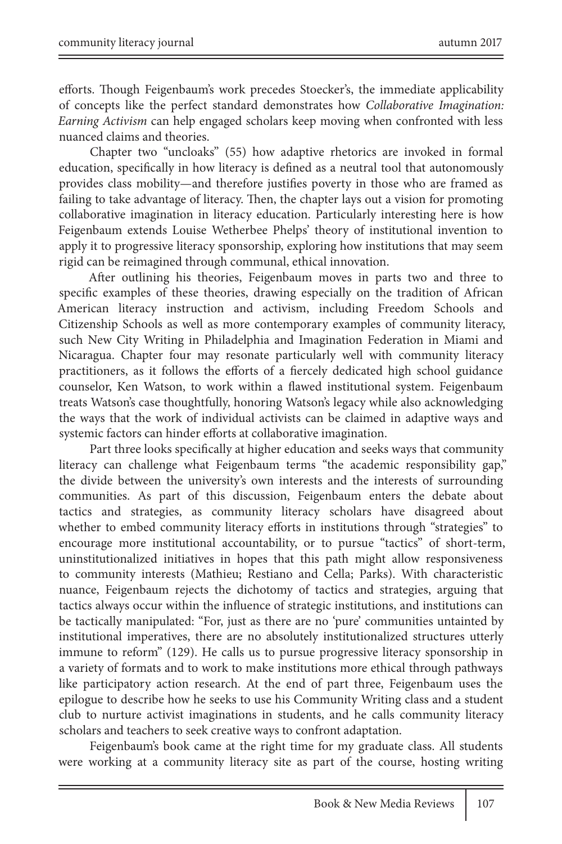efforts. Though Feigenbaum's work precedes Stoecker's, the immediate applicability of concepts like the perfect standard demonstrates how *Collaborative Imagination: Earning Activism* can help engaged scholars keep moving when confronted with less nuanced claims and theories.

Chapter two "uncloaks" (55) how adaptive rhetorics are invoked in formal education, specifically in how literacy is defined as a neutral tool that autonomously provides class mobility—and therefore justifies poverty in those who are framed as failing to take advantage of literacy. Then, the chapter lays out a vision for promoting collaborative imagination in literacy education. Particularly interesting here is how Feigenbaum extends Louise Wetherbee Phelps' theory of institutional invention to apply it to progressive literacy sponsorship, exploring how institutions that may seem rigid can be reimagined through communal, ethical innovation.

After outlining his theories, Feigenbaum moves in parts two and three to specific examples of these theories, drawing especially on the tradition of African American literacy instruction and activism, including Freedom Schools and Citizenship Schools as well as more contemporary examples of community literacy, such New City Writing in Philadelphia and Imagination Federation in Miami and Nicaragua. Chapter four may resonate particularly well with community literacy practitioners, as it follows the efforts of a fiercely dedicated high school guidance counselor, Ken Watson, to work within a flawed institutional system. Feigenbaum treats Watson's case thoughtfully, honoring Watson's legacy while also acknowledging the ways that the work of individual activists can be claimed in adaptive ways and systemic factors can hinder efforts at collaborative imagination.

Part three looks specifically at higher education and seeks ways that community literacy can challenge what Feigenbaum terms "the academic responsibility gap," the divide between the university's own interests and the interests of surrounding communities. As part of this discussion, Feigenbaum enters the debate about tactics and strategies, as community literacy scholars have disagreed about whether to embed community literacy efforts in institutions through "strategies" to encourage more institutional accountability, or to pursue "tactics" of short-term, uninstitutionalized initiatives in hopes that this path might allow responsiveness to community interests (Mathieu; Restiano and Cella; Parks). With characteristic nuance, Feigenbaum rejects the dichotomy of tactics and strategies, arguing that tactics always occur within the influence of strategic institutions, and institutions can be tactically manipulated: "For, just as there are no 'pure' communities untainted by institutional imperatives, there are no absolutely institutionalized structures utterly immune to reform" (129). He calls us to pursue progressive literacy sponsorship in a variety of formats and to work to make institutions more ethical through pathways like participatory action research. At the end of part three, Feigenbaum uses the epilogue to describe how he seeks to use his Community Writing class and a student club to nurture activist imaginations in students, and he calls community literacy scholars and teachers to seek creative ways to confront adaptation.

Feigenbaum's book came at the right time for my graduate class. All students were working at a community literacy site as part of the course, hosting writing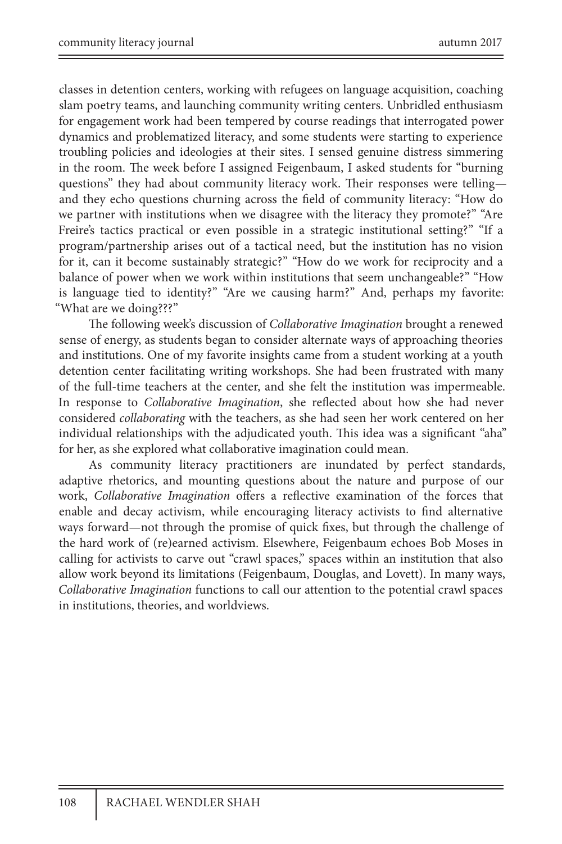classes in detention centers, working with refugees on language acquisition, coaching slam poetry teams, and launching community writing centers. Unbridled enthusiasm for engagement work had been tempered by course readings that interrogated power dynamics and problematized literacy, and some students were starting to experience troubling policies and ideologies at their sites. I sensed genuine distress simmering in the room. The week before I assigned Feigenbaum, I asked students for "burning questions" they had about community literacy work. Their responses were telling and they echo questions churning across the field of community literacy: "How do we partner with institutions when we disagree with the literacy they promote?" "Are Freire's tactics practical or even possible in a strategic institutional setting?" "If a program/partnership arises out of a tactical need, but the institution has no vision for it, can it become sustainably strategic?" "How do we work for reciprocity and a balance of power when we work within institutions that seem unchangeable?" "How is language tied to identity?" "Are we causing harm?" And, perhaps my favorite: "What are we doing???"

The following week's discussion of *Collaborative Imagination* brought a renewed sense of energy, as students began to consider alternate ways of approaching theories and institutions. One of my favorite insights came from a student working at a youth detention center facilitating writing workshops. She had been frustrated with many of the full-time teachers at the center, and she felt the institution was impermeable. In response to *Collaborative Imagination*, she reflected about how she had never considered *collaborating* with the teachers, as she had seen her work centered on her individual relationships with the adjudicated youth. This idea was a significant "aha" for her, as she explored what collaborative imagination could mean.

As community literacy practitioners are inundated by perfect standards, adaptive rhetorics, and mounting questions about the nature and purpose of our work, *Collaborative Imagination* offers a reflective examination of the forces that enable and decay activism, while encouraging literacy activists to find alternative ways forward—not through the promise of quick fixes, but through the challenge of the hard work of (re)earned activism. Elsewhere, Feigenbaum echoes Bob Moses in calling for activists to carve out "crawl spaces," spaces within an institution that also allow work beyond its limitations (Feigenbaum, Douglas, and Lovett). In many ways, *Collaborative Imagination* functions to call our attention to the potential crawl spaces in institutions, theories, and worldviews.